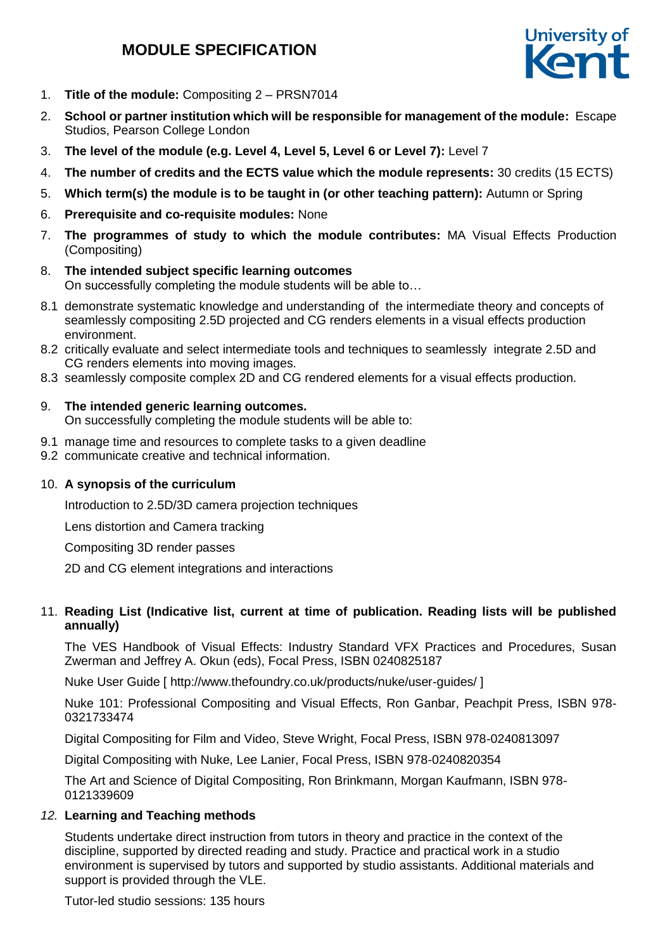# **MODULE SPECIFICATION**



- 1. **Title of the module:** Compositing 2 PRSN7014
- 2. **School or partner institution which will be responsible for management of the module:** Escape Studios, Pearson College London
- 3. **The level of the module (e.g. Level 4, Level 5, Level 6 or Level 7):** Level 7
- 4. **The number of credits and the ECTS value which the module represents:** 30 credits (15 ECTS)
- 5. **Which term(s) the module is to be taught in (or other teaching pattern):** Autumn or Spring
- 6. **Prerequisite and co-requisite modules:** None
- 7. **The programmes of study to which the module contributes:** MA Visual Effects Production (Compositing)
- 8. **The intended subject specific learning outcomes** On successfully completing the module students will be able to…
- 8.1 demonstrate systematic knowledge and understanding of the intermediate theory and concepts of seamlessly compositing 2.5D projected and CG renders elements in a visual effects production environment.
- 8.2 critically evaluate and select intermediate tools and techniques to seamlessly integrate 2.5D and CG renders elements into moving images.
- 8.3 seamlessly composite complex 2D and CG rendered elements for a visual effects production.

#### 9. **The intended generic learning outcomes.**

On successfully completing the module students will be able to:

- 9.1 manage time and resources to complete tasks to a given deadline
- 9.2 communicate creative and technical information.

#### 10. **A synopsis of the curriculum**

Introduction to 2.5D/3D camera projection techniques

Lens distortion and Camera tracking

Compositing 3D render passes

2D and CG element integrations and interactions

#### 11. **Reading List (Indicative list, current at time of publication. Reading lists will be published annually)**

The VES Handbook of Visual Effects: Industry Standard VFX Practices and Procedures, Susan Zwerman and Jeffrey A. Okun (eds), Focal Press, ISBN 0240825187

Nuke User Guide [ http://www.thefoundry.co.uk/products/nuke/user-guides/ ]

Nuke 101: Professional Compositing and Visual Effects, Ron Ganbar, Peachpit Press, ISBN 978- 0321733474

Digital Compositing for Film and Video, Steve Wright, Focal Press, ISBN 978-0240813097

Digital Compositing with Nuke, Lee Lanier, Focal Press, ISBN 978-0240820354

The Art and Science of Digital Compositing, Ron Brinkmann, Morgan Kaufmann, ISBN 978- 0121339609

#### *12.* **Learning and Teaching methods**

Students undertake direct instruction from tutors in theory and practice in the context of the discipline, supported by directed reading and study. Practice and practical work in a studio environment is supervised by tutors and supported by studio assistants. Additional materials and support is provided through the VLE.

Tutor-led studio sessions: 135 hours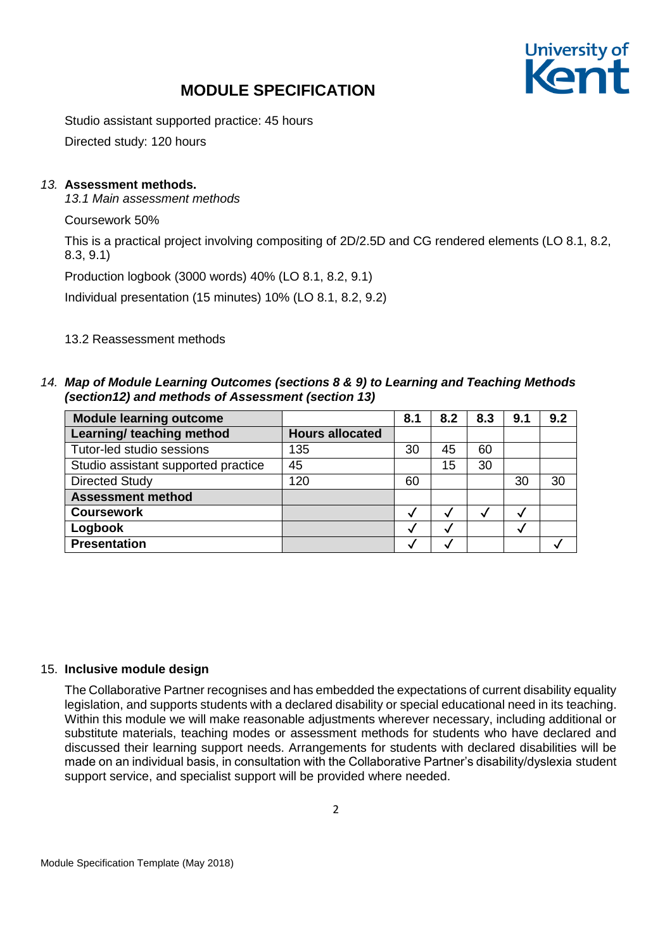# University of

## **MODULE SPECIFICATION**

Studio assistant supported practice: 45 hours

Directed study: 120 hours

## *13.* **Assessment methods.**

*13.1 Main assessment methods*

Coursework 50%

This is a practical project involving compositing of 2D/2.5D and CG rendered elements (LO 8.1, 8.2, 8.3, 9.1)

Production logbook (3000 words) 40% (LO 8.1, 8.2, 9.1)

Individual presentation (15 minutes) 10% (LO 8.1, 8.2, 9.2)

### 13.2 Reassessment methods

*14. Map of Module Learning Outcomes (sections 8 & 9) to Learning and Teaching Methods (section12) and methods of Assessment (section 13)*

| <b>Module learning outcome</b>      |                        | 8.1 | 8.2 | 8.3 | 9.1 | 9.2 |
|-------------------------------------|------------------------|-----|-----|-----|-----|-----|
| Learning/ teaching method           | <b>Hours allocated</b> |     |     |     |     |     |
| Tutor-led studio sessions           | 135                    | 30  | 45  | 60  |     |     |
| Studio assistant supported practice | 45                     |     | 15  | 30  |     |     |
| <b>Directed Study</b>               | 120                    | 60  |     |     | 30  | 30  |
| <b>Assessment method</b>            |                        |     |     |     |     |     |
| <b>Coursework</b>                   |                        | M   |     |     | M   |     |
| Logbook                             |                        | M   |     |     |     |     |
| <b>Presentation</b>                 |                        |     |     |     |     |     |

#### 15. **Inclusive module design**

The Collaborative Partner recognises and has embedded the expectations of current disability equality legislation, and supports students with a declared disability or special educational need in its teaching. Within this module we will make reasonable adjustments wherever necessary, including additional or substitute materials, teaching modes or assessment methods for students who have declared and discussed their learning support needs. Arrangements for students with declared disabilities will be made on an individual basis, in consultation with the Collaborative Partner's disability/dyslexia student support service, and specialist support will be provided where needed.